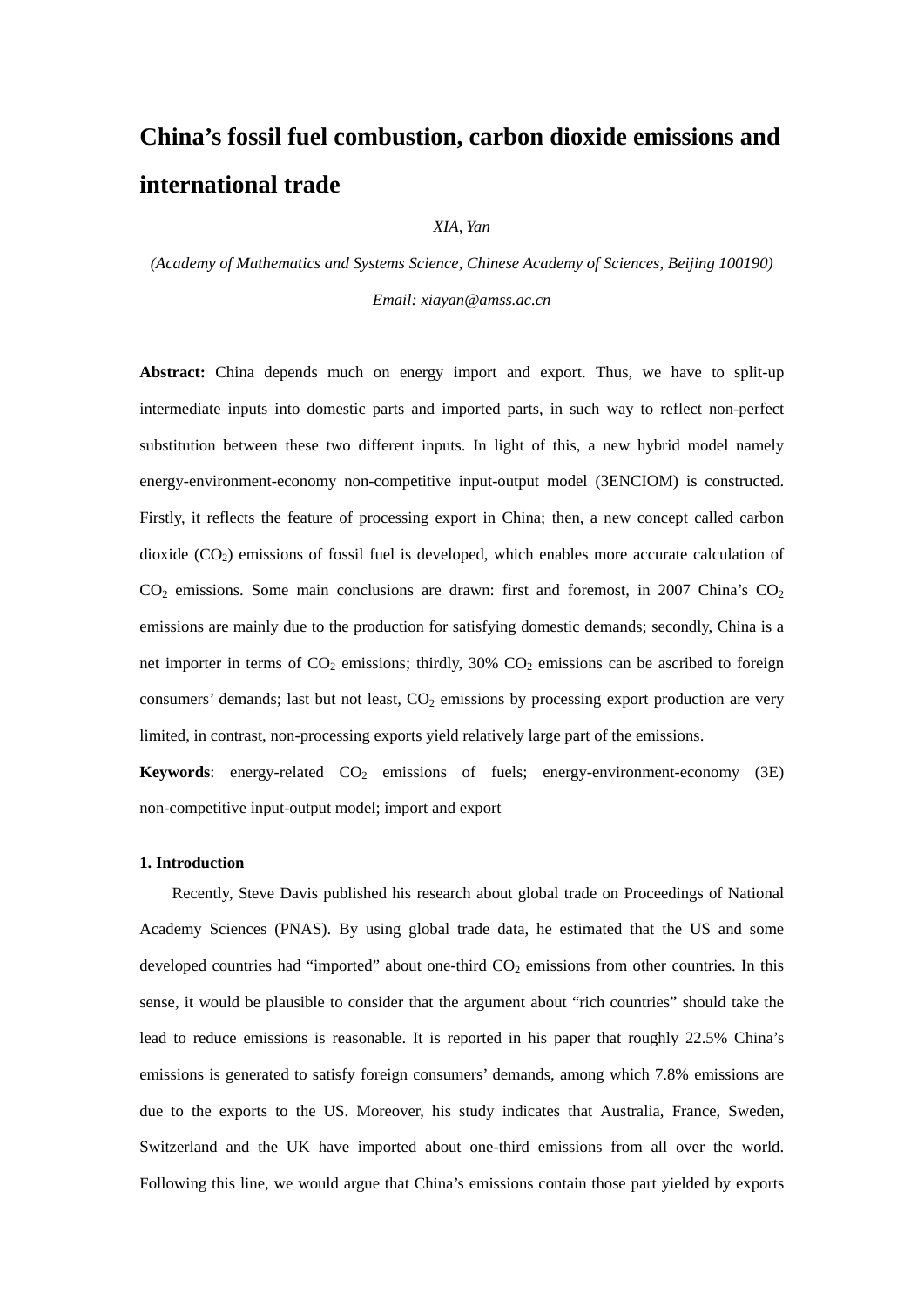# **China's fossil fuel combustion, carbon dioxide emissions and international trade**

*XIA, Yan* 

*(Academy of Mathematics and Systems Science, Chinese Academy of Sciences, Beijing 100190) Email: xiayan@amss.ac.cn* 

**Abstract:** China depends much on energy import and export. Thus, we have to split-up intermediate inputs into domestic parts and imported parts, in such way to reflect non-perfect substitution between these two different inputs. In light of this, a new hybrid model namely energy-environment-economy non-competitive input-output model (3ENCIOM) is constructed. Firstly, it reflects the feature of processing export in China; then, a new concept called carbon dioxide  $(CO<sub>2</sub>)$  emissions of fossil fuel is developed, which enables more accurate calculation of  $CO<sub>2</sub>$  emissions. Some main conclusions are drawn: first and foremost, in 2007 China's  $CO<sub>2</sub>$ emissions are mainly due to the production for satisfying domestic demands; secondly, China is a net importer in terms of  $CO_2$  emissions; thirdly, 30%  $CO_2$  emissions can be ascribed to foreign consumers' demands; last but not least,  $CO<sub>2</sub>$  emissions by processing export production are very limited, in contrast, non-processing exports yield relatively large part of the emissions.

**Keywords**: energy-related  $CO<sub>2</sub>$  emissions of fuels; energy-environment-economy (3E) non-competitive input-output model; import and export

#### **1. Introduction**

Recently, Steve Davis published his research about global trade on Proceedings of National Academy Sciences (PNAS). By using global trade data, he estimated that the US and some developed countries had "imported" about one-third  $CO<sub>2</sub>$  emissions from other countries. In this sense, it would be plausible to consider that the argument about "rich countries" should take the lead to reduce emissions is reasonable. It is reported in his paper that roughly 22.5% China's emissions is generated to satisfy foreign consumers' demands, among which 7.8% emissions are due to the exports to the US. Moreover, his study indicates that Australia, France, Sweden, Switzerland and the UK have imported about one-third emissions from all over the world. Following this line, we would argue that China's emissions contain those part yielded by exports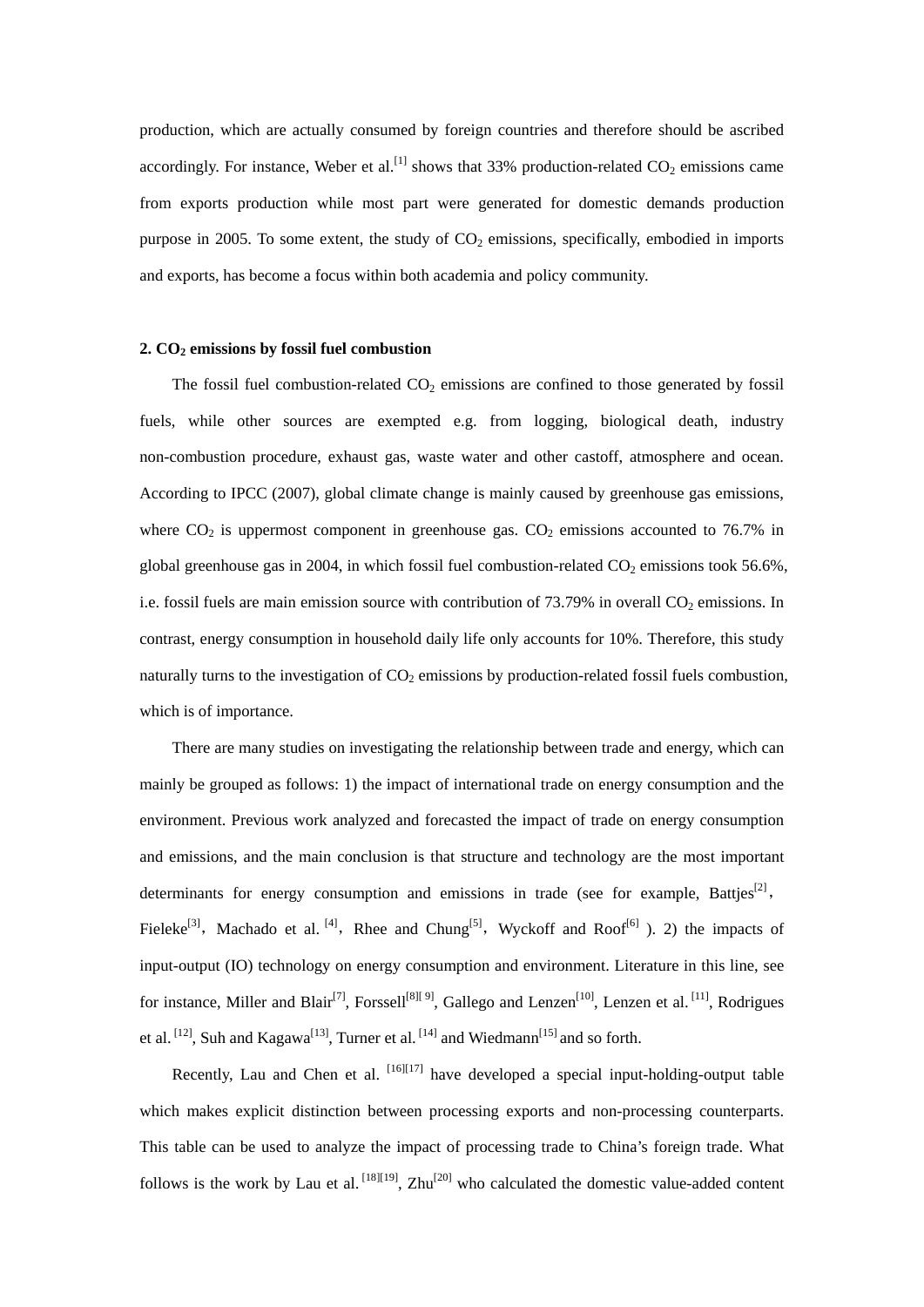production, which are actually consumed by foreign countries and therefore should be ascribed accordingly. For instance, Weber et al.<sup>[1]</sup> shows that 33% production-related  $CO<sub>2</sub>$  emissions came from exports production while most part were generated for domestic demands production purpose in 2005. To some extent, the study of  $CO<sub>2</sub>$  emissions, specifically, embodied in imports and exports, has become a focus within both academia and policy community.

#### **2. CO2 emissions by fossil fuel combustion**

The fossil fuel combustion-related  $CO<sub>2</sub>$  emissions are confined to those generated by fossil fuels, while other sources are exempted e.g. from logging, biological death, industry non-combustion procedure, exhaust gas, waste water and other castoff, atmosphere and ocean. According to IPCC (2007), global climate change is mainly caused by greenhouse gas emissions, where  $CO<sub>2</sub>$  is uppermost component in greenhouse gas.  $CO<sub>2</sub>$  emissions accounted to 76.7% in global greenhouse gas in 2004, in which fossil fuel combustion-related  $CO<sub>2</sub>$  emissions took 56.6%, i.e. fossil fuels are main emission source with contribution of  $73.79\%$  in overall  $CO<sub>2</sub>$  emissions. In contrast, energy consumption in household daily life only accounts for 10%. Therefore, this study naturally turns to the investigation of  $CO<sub>2</sub>$  emissions by production-related fossil fuels combustion, which is of importance.

There are many studies on investigating the relationship between trade and energy, which can mainly be grouped as follows: 1) the impact of international trade on energy consumption and the environment. Previous work analyzed and forecasted the impact of trade on energy consumption and emissions, and the main conclusion is that structure and technology are the most important determinants for energy consumption and emissions in trade (see for example, Batties<sup>[2]</sup>, Fieleke<sup>[3]</sup>, Machado et al.<sup>[4]</sup>, Rhee and Chung<sup>[5]</sup>, Wyckoff and Roof<sup>[6]</sup> ). 2) the impacts of input-output (IO) technology on energy consumption and environment. Literature in this line, see for instance, Miller and Blair<sup>[7]</sup>, Forssell<sup>[8][ 9]</sup>, Gallego and Lenzen<sup>[10]</sup>, Lenzen et al.<sup>[11]</sup>, Rodrigues et al.  $^{[12]}$ , Suh and Kagawa<sup>[13]</sup>, Turner et al.  $^{[14]}$  and Wiedmann<sup>[15]</sup> and so forth.

Recently, Lau and Chen et al.  $[16][17]$  have developed a special input-holding-output table which makes explicit distinction between processing exports and non-processing counterparts. This table can be used to analyze the impact of processing trade to China's foreign trade. What follows is the work by Lau et al.  $^{[18][19]}$ , Zhu $^{[20]}$  who calculated the domestic value-added content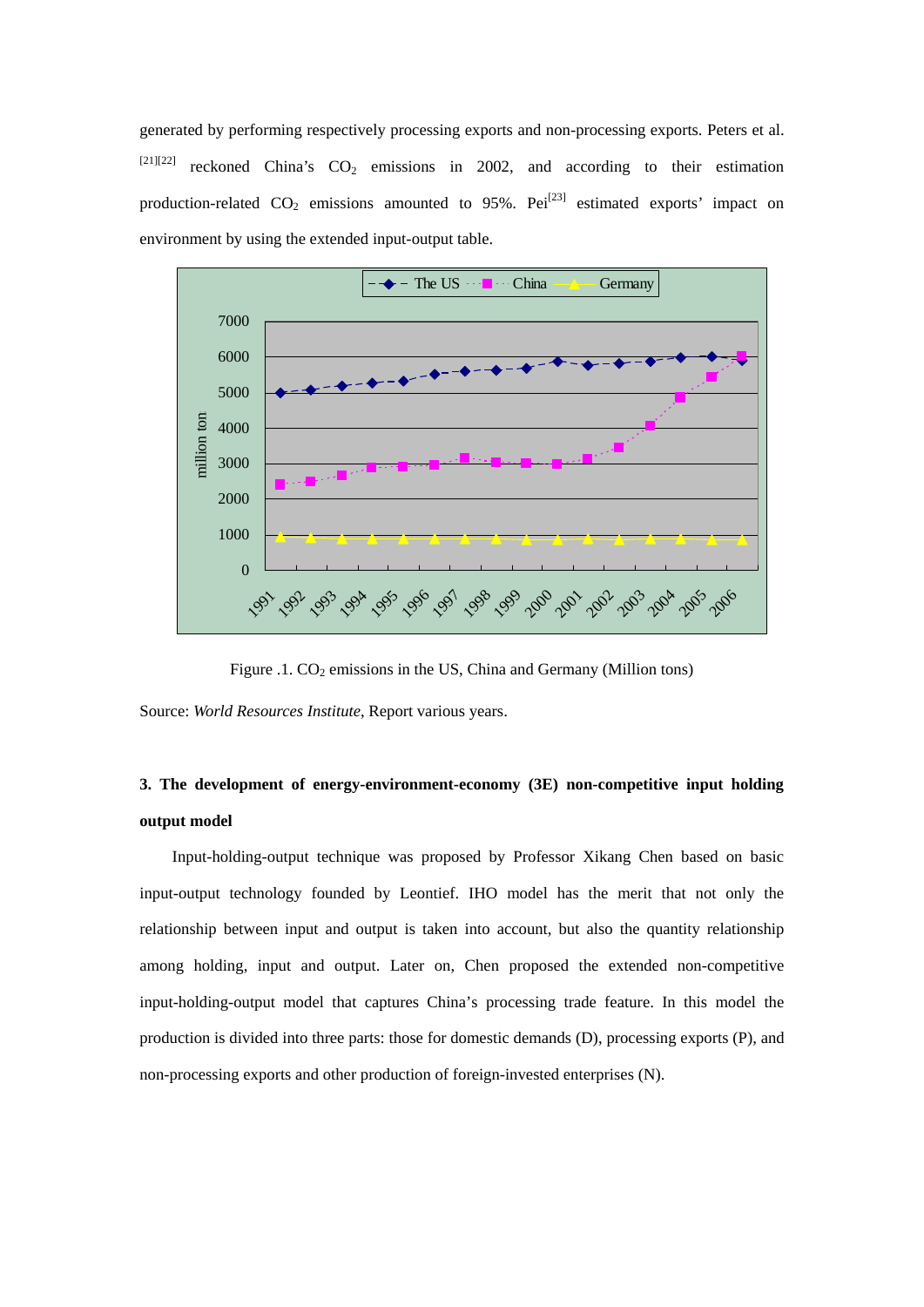generated by performing respectively processing exports and non-processing exports. Peters et al.  $[21][22]$  reckoned China's CO<sub>2</sub> emissions in 2002, and according to their estimation production-related  $CO_2$  emissions amounted to 95%. Pei<sup>[23]</sup> estimated exports' impact on environment by using the extended input-output table.



Figure .1. CO<sub>2</sub> emissions in the US, China and Germany (Million tons)

Source: *World Resources Institute*, Report various years.

# **3. The development of energy-environment-economy (3E) non-competitive input holding output model**

Input-holding-output technique was proposed by Professor Xikang Chen based on basic input-output technology founded by Leontief. IHO model has the merit that not only the relationship between input and output is taken into account, but also the quantity relationship among holding, input and output. Later on, Chen proposed the extended non-competitive input-holding-output model that captures China's processing trade feature. In this model the production is divided into three parts: those for domestic demands (D), processing exports (P), and non-processing exports and other production of foreign-invested enterprises (N).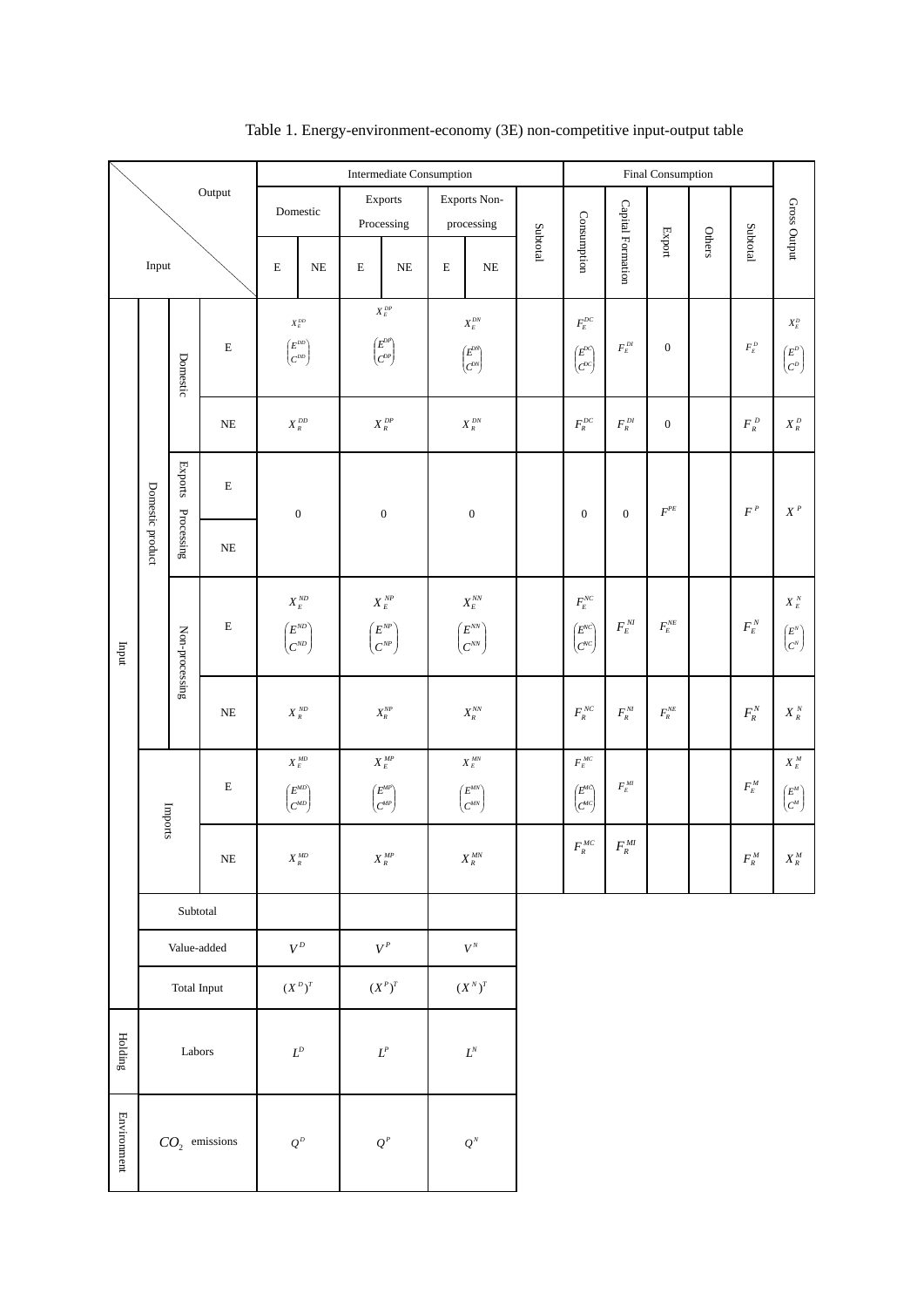|               |                        |                                 | Intermediate Consumption              |                                                                                                         |                                                                                                                      |                                         | Final Consumption                                                                                                   |                   |                                                                                                                        |                                                       |                                                    |              |                                                   |                                                                                                              |
|---------------|------------------------|---------------------------------|---------------------------------------|---------------------------------------------------------------------------------------------------------|----------------------------------------------------------------------------------------------------------------------|-----------------------------------------|---------------------------------------------------------------------------------------------------------------------|-------------------|------------------------------------------------------------------------------------------------------------------------|-------------------------------------------------------|----------------------------------------------------|--------------|---------------------------------------------------|--------------------------------------------------------------------------------------------------------------|
|               |                        |                                 | Output                                | Domestic                                                                                                | Exports<br>Processing                                                                                                |                                         | Exports Non-<br>processing                                                                                          |                   |                                                                                                                        |                                                       |                                                    |              |                                                   |                                                                                                              |
| Input         |                        | $\mathbf E$<br>$\rm NE$         | $\mathbf E$<br>$\rm NE$               | $\mathbf E$                                                                                             | $\rm NE$                                                                                                             | Subtotal                                | Consumption                                                                                                         | Capital Formation | $\ensuremath{\mathsf{Export}}$                                                                                         | Others                                                | Subtotal                                           | Gross Output |                                                   |                                                                                                              |
|               | Domestic product       | Domestic                        | $\mathbf E$                           | $X_{\scriptscriptstyle E}^{\scriptscriptstyle DD}$<br>$\begin{pmatrix} E^{DD} \\ C^{DD} \end{pmatrix}$  | $X_{\scriptscriptstyle E}^{\scriptscriptstyle DP}$<br>$\begin{pmatrix} E^{DP} \\ C^{DP} \end{pmatrix}$               |                                         | $\boldsymbol{X}_{\scriptscriptstyle E}^{\scriptscriptstyle DN}$<br>$\begin{pmatrix} E^{DN} \\ C^{DN} \end{pmatrix}$ |                   | $F_{\!\scriptscriptstyle E}^{\scriptscriptstyle DC}$<br>$\begin{pmatrix} E^{DC} \\ C^{DC} \end{pmatrix}$               | $F_{\scriptscriptstyle E}^{\scriptscriptstyle\,DI}$   | $\boldsymbol{0}$                                   |              | $F_{\scriptscriptstyle E}^{\scriptscriptstyle D}$ | $X^{\scriptscriptstyle D}_{{\scriptscriptstyle E}}$<br>$\begin{pmatrix} E^D \\ C^D \end{pmatrix}$            |
|               |                        |                                 | $\rm NE$                              | $X_{_R}^{\; DD}$                                                                                        | $X_{\scriptscriptstyle R}^{\scriptscriptstyle DP}$                                                                   |                                         | $X_{\scriptscriptstyle R}^{\scriptscriptstyle DN}$                                                                  |                   | $F_{\scriptscriptstyle R}^{\scriptscriptstyle DC}$                                                                     | $F_{\scriptscriptstyle R}^{\scriptscriptstyle\,DI}$   | $\boldsymbol{0}$                                   |              | $F_{\scriptscriptstyle R}^{\scriptscriptstyle D}$ | $X^{\mathfrak{D}}_{\mathfrak{K}}$                                                                            |
|               |                        | $\ensuremath{\mathsf{Exports}}$ | ${\bf E}$                             | $\boldsymbol{0}$                                                                                        | $\boldsymbol{0}$                                                                                                     | $\boldsymbol{0}$                        |                                                                                                                     |                   | $\boldsymbol{0}$                                                                                                       | $\boldsymbol{0}$                                      | $\mathcal{F}^{PE}$                                 |              | $F^{\,P}$                                         | $\boldsymbol{X}^{\,\,P}$                                                                                     |
|               |                        | Processing                      | $_{\rm NE}$                           |                                                                                                         |                                                                                                                      |                                         |                                                                                                                     |                   |                                                                                                                        |                                                       |                                                    |              |                                                   |                                                                                                              |
| $_{\rm indq}$ |                        | Non-processing                  | $\mathbf E$                           | $X_{\scriptscriptstyle E}^{\scriptscriptstyle \,ND}$<br>$\begin{pmatrix} E^{ND} \ C^{ND} \end{pmatrix}$ | $X^{\,\scriptscriptstyle NP}_{\scriptscriptstyle E}$<br>$\begin{pmatrix} E^{NP} \ C^{NP} \end{pmatrix}$              |                                         | $X_{\scriptscriptstyle E}^{\scriptscriptstyle NN}$<br>$\begin{pmatrix} E^{NN} \ C^{NN} \end{pmatrix}$               |                   | $F_{\!\scriptscriptstyle E}^{\scriptscriptstyle NC}$<br>$\begin{pmatrix} E^{\text{NC}} \\ C^{\text{NC}} \end{pmatrix}$ | $F_{\scriptscriptstyle E}^{\scriptscriptstyle{N\!I}}$ | $F_{\scriptscriptstyle E}^{\scriptscriptstyle NE}$ |              | $F_{\scriptscriptstyle E}^{\scriptscriptstyle N}$ | $X^{\,\,N}_{\,\,E}$<br>$\begin{pmatrix} E^{\scriptscriptstyle N} \cr C^{\scriptscriptstyle N} \end{pmatrix}$ |
|               |                        |                                 | $\rm NE$                              | $X\mathop{\vphantom{\rule{0pt}{5.5pt}}_{R}}\nolimits^{ND}$                                              | $\mathcal{X}^{\mathit{NP}}_R$                                                                                        |                                         | $X_{\scriptscriptstyle R}^{\scriptscriptstyle NN}$                                                                  |                   | $F_{\scriptscriptstyle R}^{\scriptscriptstyle NC}$                                                                     | $F_{\scriptscriptstyle R}^{\scriptscriptstyle N\!I}$  | $F_{\scriptscriptstyle R}^{\scriptscriptstyle NE}$ |              | $F_{\scriptscriptstyle R}^{\scriptscriptstyle N}$ | $X^{\,\scriptscriptstyle N}_{\,\scriptscriptstyle R}$                                                        |
|               | $\mathbf E$<br>Imports |                                 |                                       | $X_{_E}^{\scriptscriptstyle\, MD}$<br>$\begin{pmatrix} E^{MD} \\ C^{MD} \end{pmatrix}$                  | $X_{\scriptscriptstyle E}^{\scriptscriptstyle MP}$<br>$\begin{pmatrix} E^{\text{MP}} \\ C^{\text{MP}} \end{pmatrix}$ |                                         | $X^{\textit{\tiny M}N}_{\textit{\tiny E}}$<br>$\begin{pmatrix} E^{MN} \\ C^{MN} \end{pmatrix}$                      |                   | $F_{_E}^{_M C}$<br>$\begin{pmatrix} E^{MC} \\ C^{MC} \end{pmatrix}$                                                    | $F_{\scriptscriptstyle E}^{\scriptscriptstyle MI}$    |                                                    |              | $F_{\scriptscriptstyle E}^{\scriptscriptstyle M}$ | $X^{\scriptscriptstyle M}_{\scriptscriptstyle E}$<br>$\begin{pmatrix} E^M \\ C^M \end{pmatrix}$              |
|               |                        |                                 | $\rm NE$                              | $X_{\scriptscriptstyle R}^{\scriptscriptstyle MD}$                                                      | $X_{\scriptscriptstyle R}^{\scriptscriptstyle MP}$                                                                   |                                         | $X_{\scriptscriptstyle R}^{\scriptscriptstyle MN}$                                                                  |                   | $F_{\scriptscriptstyle R}^{\scriptscriptstyle MC}$                                                                     | $F_{\scriptscriptstyle R}^{\scriptscriptstyle MI}$    |                                                    |              | $F_{\scriptscriptstyle R}^{\scriptscriptstyle M}$ | $\boldsymbol{X}^{\mathit{M}}_{\mathit{R}}$                                                                   |
|               | Subtotal               |                                 |                                       |                                                                                                         |                                                                                                                      |                                         |                                                                                                                     |                   |                                                                                                                        |                                                       |                                                    |              |                                                   |                                                                                                              |
|               | Value-added            |                                 |                                       | $V^D$                                                                                                   | $V^P$                                                                                                                |                                         | $V^N$                                                                                                               |                   |                                                                                                                        |                                                       |                                                    |              |                                                   |                                                                                                              |
|               | Total Input            |                                 | $(\boldsymbol{X}^{\boldsymbol{D}})^T$ | $(\boldsymbol{X}^P)^T$                                                                                  |                                                                                                                      | $\left( \boldsymbol{X}^{N}\right) ^{T}$ |                                                                                                                     |                   |                                                                                                                        |                                                       |                                                    |              |                                                   |                                                                                                              |
| Holding       | Labors                 |                                 | $\mathcal{L}^D$                       | $\mathcal{L}^P$                                                                                         |                                                                                                                      | ${\cal L}^{\scriptscriptstyle N}$       |                                                                                                                     |                   |                                                                                                                        |                                                       |                                                    |              |                                                   |                                                                                                              |
| Environment   | $CO2$ emissions        |                                 | $\boldsymbol{Q}^{\boldsymbol{D}}$     | $\boldsymbol{Q}^{\textit{P}}$                                                                           |                                                                                                                      | $Q^N$                                   |                                                                                                                     |                   |                                                                                                                        |                                                       |                                                    |              |                                                   |                                                                                                              |

Table 1. Energy-environment-economy (3E) non-competitive input-output table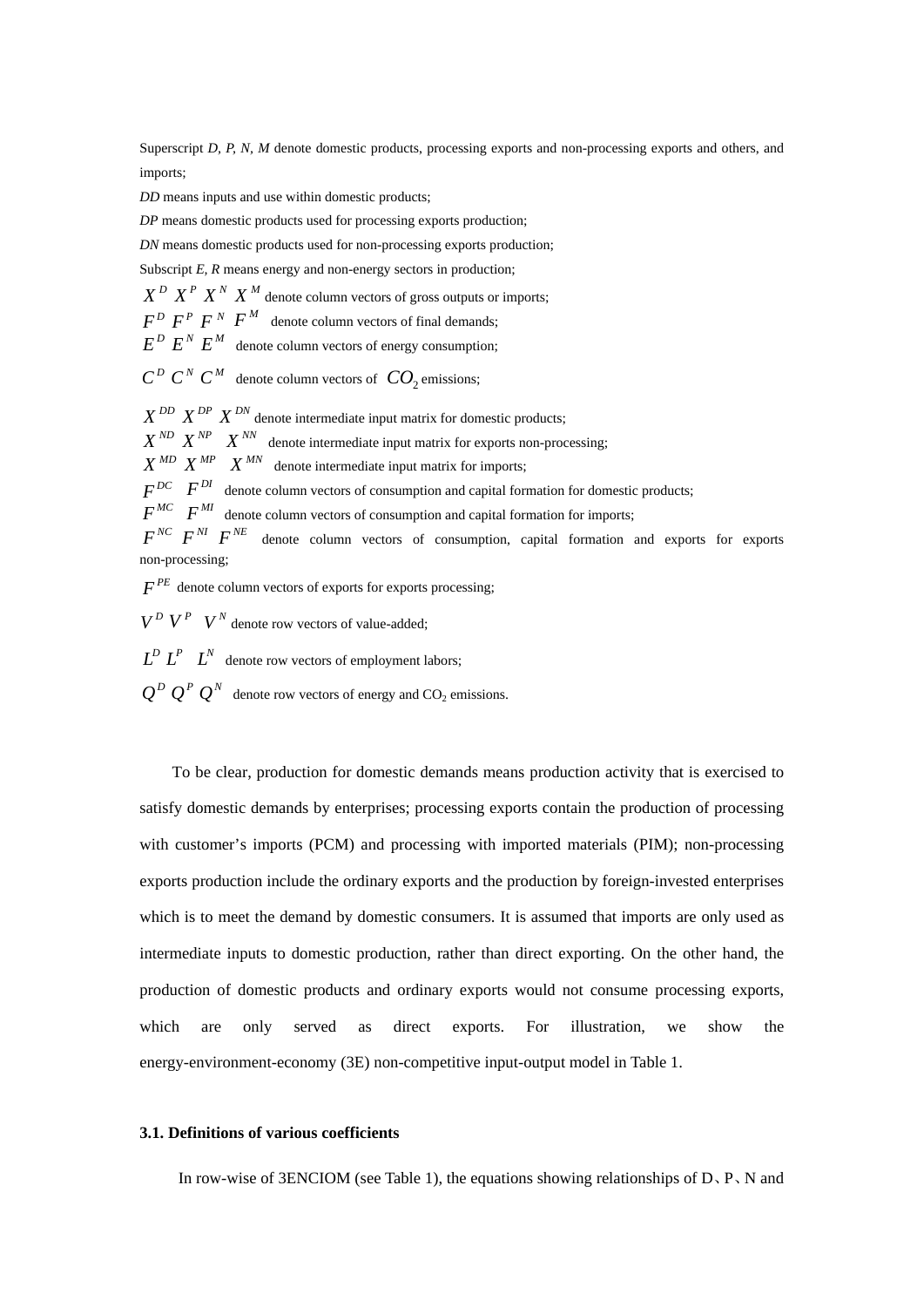Superscript *D, P, N, M* denote domestic products, processing exports and non-processing exports and others, and imports;

*DD* means inputs and use within domestic products;

*DP* means domestic products used for processing exports production;

*DN* means domestic products used for non-processing exports production;

Subscript *E*, *R* means energy and non-energy sectors in production;

 $X^D$   $X^P$   $X^N$   $X^M$  denote column vectors of gross outputs or imports;

 $F^D$   $F^P$   $F^N$   $F^M$  denote column vectors of final demands;

 $E^D$   $E^N$   $E^M$  denote column vectors of energy consumption;

 $C^D$  *C*<sup>*N*</sup> *C*<sup>*M*</sup> denote column vectors of *CO*<sub>2</sub> emissions;

 $X^{DD}$   $X^{DP}$   $X^{DN}$  denote intermediate input matrix for domestic products;  $X^{ND}$   $X^{NP}$   $X^{NN}$  denote intermediate input matrix for exports non-processing;  $X^{MD}$   $X^{MP}$   $X^{MN}$  denote intermediate input matrix for imports;  $F^{DC}$  *F*<sup>*DI*</sup> denote column vectors of consumption and capital formation for domestic products;  $F^{MC}$  *F<sup>MI</sup>* denote column vectors of consumption and capital formation for imports; *NC F NI F NE F* denote column vectors of consumption, capital formation and exports for exports non-processing;

 $F^{PE}$  denote column vectors of exports for exports processing;

 $V^D$   $V^P$   $V^N$  denote row vectors of value-added;

 $L^D L^P L^N$  denote row vectors of employment labors;

 $Q^D Q^P Q^N$  denote row vectors of energy and CO<sub>2</sub> emissions.

To be clear, production for domestic demands means production activity that is exercised to satisfy domestic demands by enterprises; processing exports contain the production of processing with customer's imports (PCM) and processing with imported materials (PIM); non-processing exports production include the ordinary exports and the production by foreign-invested enterprises which is to meet the demand by domestic consumers. It is assumed that imports are only used as intermediate inputs to domestic production, rather than direct exporting. On the other hand, the production of domestic products and ordinary exports would not consume processing exports, which are only served as direct exports. For illustration, we show the energy-environment-economy (3E) non-competitive input-output model in Table 1.

#### **3.1. Definitions of various coefficients**

In row-wise of 3ENCIOM (see Table 1), the equations showing relationships of  $D, P, N$  and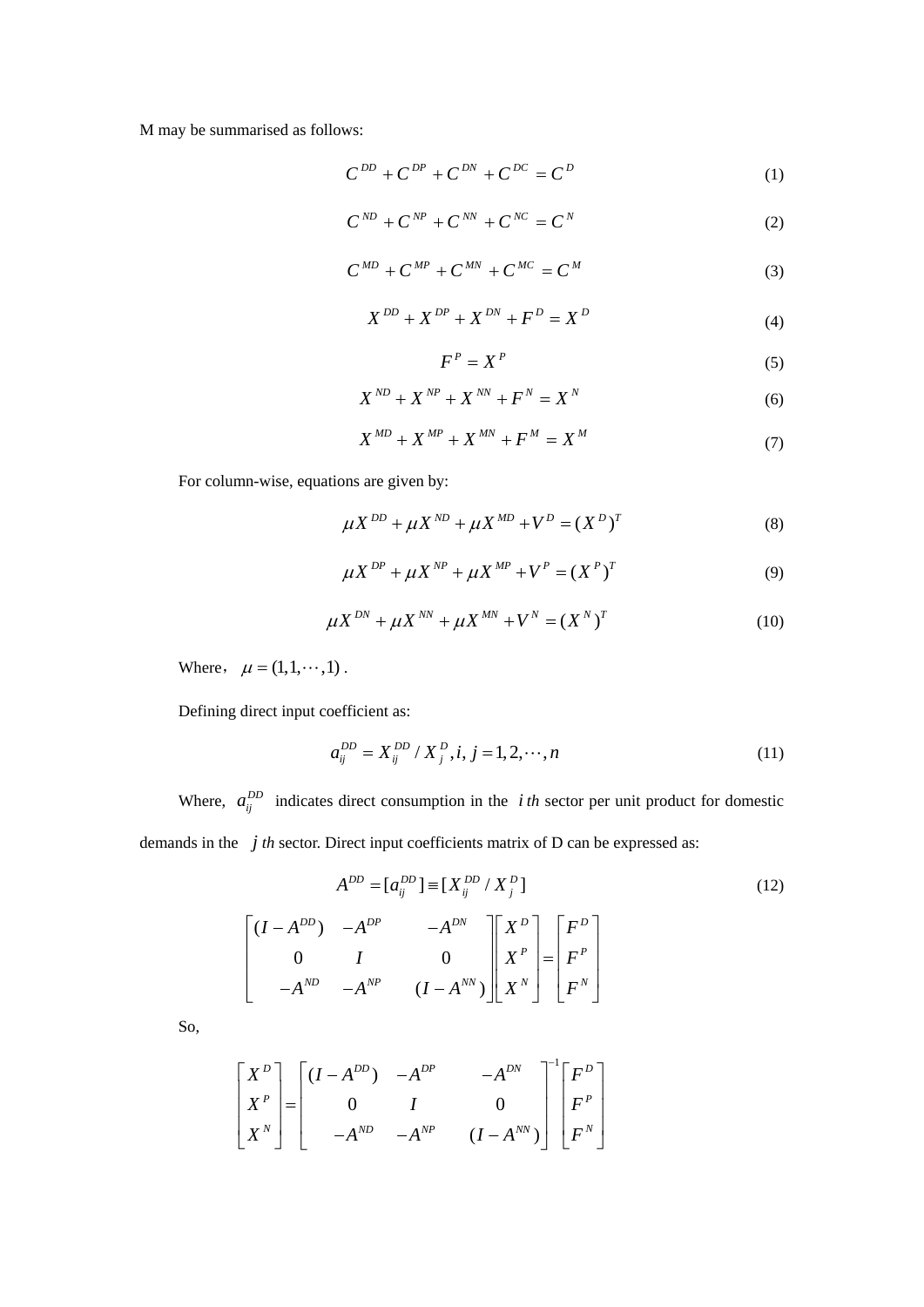M may be summarised as follows:

$$
C^{DD} + C^{DP} + C^{DN} + C^{DC} = C^D \tag{1}
$$

$$
C^{ND} + C^{NP} + C^{NN} + C^{NC} = C^N
$$
 (2)

$$
C^{MD} + C^{MP} + C^{MN} + C^{MC} = C^M \tag{3}
$$

$$
X^{DD} + X^{DP} + X^{DN} + F^D = X^D \tag{4}
$$

$$
F^P = X^P \tag{5}
$$

$$
X^{ND} + X^{NP} + X^{NN} + F^N = X^N \tag{6}
$$

$$
X^{MD} + X^{MP} + X^{MN} + F^M = X^M \tag{7}
$$

For column-wise, equations are given by:

$$
\mu X^{DD} + \mu X^{ND} + \mu X^{MD} + V^D = (X^D)^T
$$
 (8)

$$
\mu X^{DP} + \mu X^{NP} + \mu X^{MP} + V^P = (X^P)^T
$$
\n(9)

$$
\mu X^{DN} + \mu X^{NN} + \mu X^{MN} + V^N = (X^N)^T
$$
 (10)

Where,  $\mu = (1, 1, \dots, 1)$ .

Defining direct input coefficient as:

$$
a_{ij}^{DD} = X_{ij}^{DD} / X_j^D, i, j = 1, 2, \cdots, n
$$
 (11)

Where,  $a_{ij}^{DD}$  indicates direct consumption in the *i*th sector per unit product for domestic demands in the  $j$  th sector. Direct input coefficients matrix of D can be expressed as:

$$
A^{DD} = [a_{ij}^{DD}] \equiv [X_{ij}^{DD} / X_{j}^{D}]
$$
  
\n
$$
\begin{bmatrix} (I - A^{DD}) & -A^{DP} & -A^{DN} \\ 0 & I & 0 \\ -A^{ND} & -A^{NP} & (I - A^{NN}) \end{bmatrix} \begin{bmatrix} X^{D} \\ X^{P} \\ X^{N} \end{bmatrix} = \begin{bmatrix} F^{D} \\ F^{P} \\ F^{N} \end{bmatrix}
$$
 (12)

So,

$$
\begin{bmatrix} X^{D} \\ X^{P} \\ X^{N} \end{bmatrix} = \begin{bmatrix} (I - A^{DD}) & -A^{DP} & -A^{DN} \\ 0 & I & 0 \\ -A^{ND} & -A^{NP} & (I - A^{NN}) \end{bmatrix}^{-1} \begin{bmatrix} F^{D} \\ F^{P} \\ F^{N} \end{bmatrix}
$$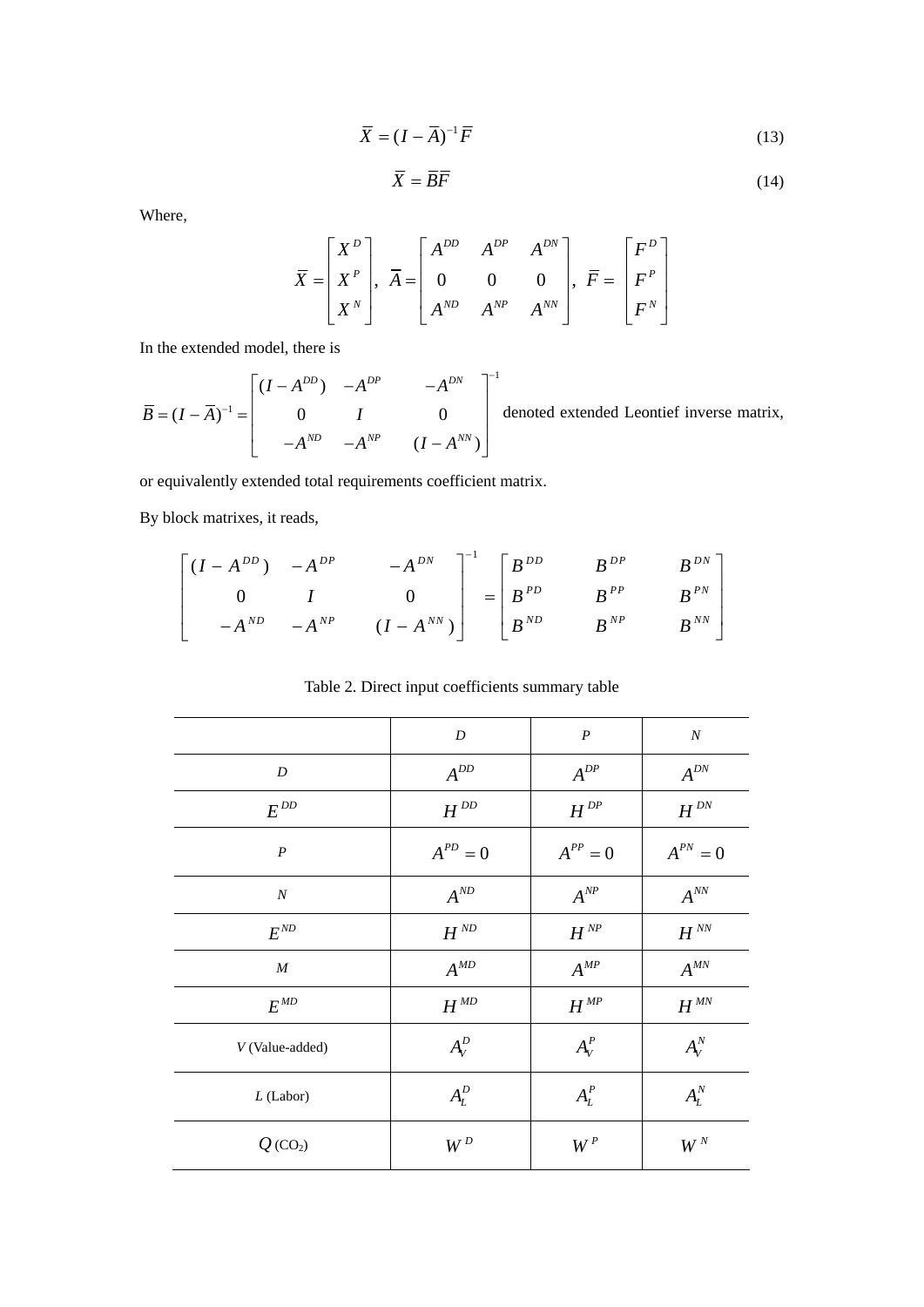$$
\overline{X} = (I - \overline{A})^{-1} \overline{F}
$$
\n(13)

$$
\overline{X} = \overline{B}\overline{F} \tag{14}
$$

Where,

$$
\overline{X} = \begin{bmatrix} X^D \\ X^P \\ X^N \end{bmatrix}, \ \overline{A} = \begin{bmatrix} A^{DD} & A^{DP} & A^{DN} \\ 0 & 0 & 0 \\ A^{ND} & A^{NP} & A^{NN} \end{bmatrix}, \ \overline{F} = \begin{bmatrix} F^D \\ F^P \\ F^N \end{bmatrix}
$$

In the extended model, there is

$$
\overline{B} = (I - \overline{A})^{-1} = \begin{bmatrix} (I - A^{DD}) & -A^{DP} & -A^{DN} \\ 0 & I & 0 \\ -A^{ND} & -A^{NP} & (I - A^{NN}) \end{bmatrix}^{-1}
$$
denoted extended Leontief inverse matrix,

or equivalently extended total requirements coefficient matrix.

By block matrixes, it reads,

$$
\begin{bmatrix} (I - A^{DD}) & -A^{DP} & -A^{DN} \\ 0 & I & 0 \\ -A^{ND} & -A^{NP} & (I - A^{NN}) \end{bmatrix}^{-1} = \begin{bmatrix} B^{DD} & B^{DP} & B^{DN} \\ B^{PD} & B^{PP} & B^{PN} \\ B^{ND} & B^{NP} & B^{NN} \end{bmatrix}
$$

Table 2. Direct input coefficients summary table

| D                        | $\boldsymbol{P}$  | $\boldsymbol{N}$         |
|--------------------------|-------------------|--------------------------|
| $A^{DD}$                 | $A^{DP}$          | $A^{DN}$                 |
| $H^{DD}$                 | $H^{\mathit{DP}}$ | $H^{\mathit{DN}}$        |
| $A^{PD}=0$               | $A^{PP}=0$        | $A^{PN}=0$               |
| $A^{ND}$                 | $A^{NP}$          | $A^{NN}$                 |
| $H^{\,\text{\tiny{ND}}}$ | $H^{NP}$          | $H^{\sqrt{N}}$           |
| $A^{MD}$                 | $A^{MP}$          | $A^{MN}$                 |
| $H^{\mathit{MD}}$        | $H^{MP}$          | $H^{\textit{\tiny{MN}}}$ |
| $A_V^D$                  | $A_V^P$           | $A_V^N$                  |
| $A_L^D$                  | $A_L^P$           | $A_L^N$                  |
| $W^D$                    | $W^P$             | $W^N$                    |
|                          |                   |                          |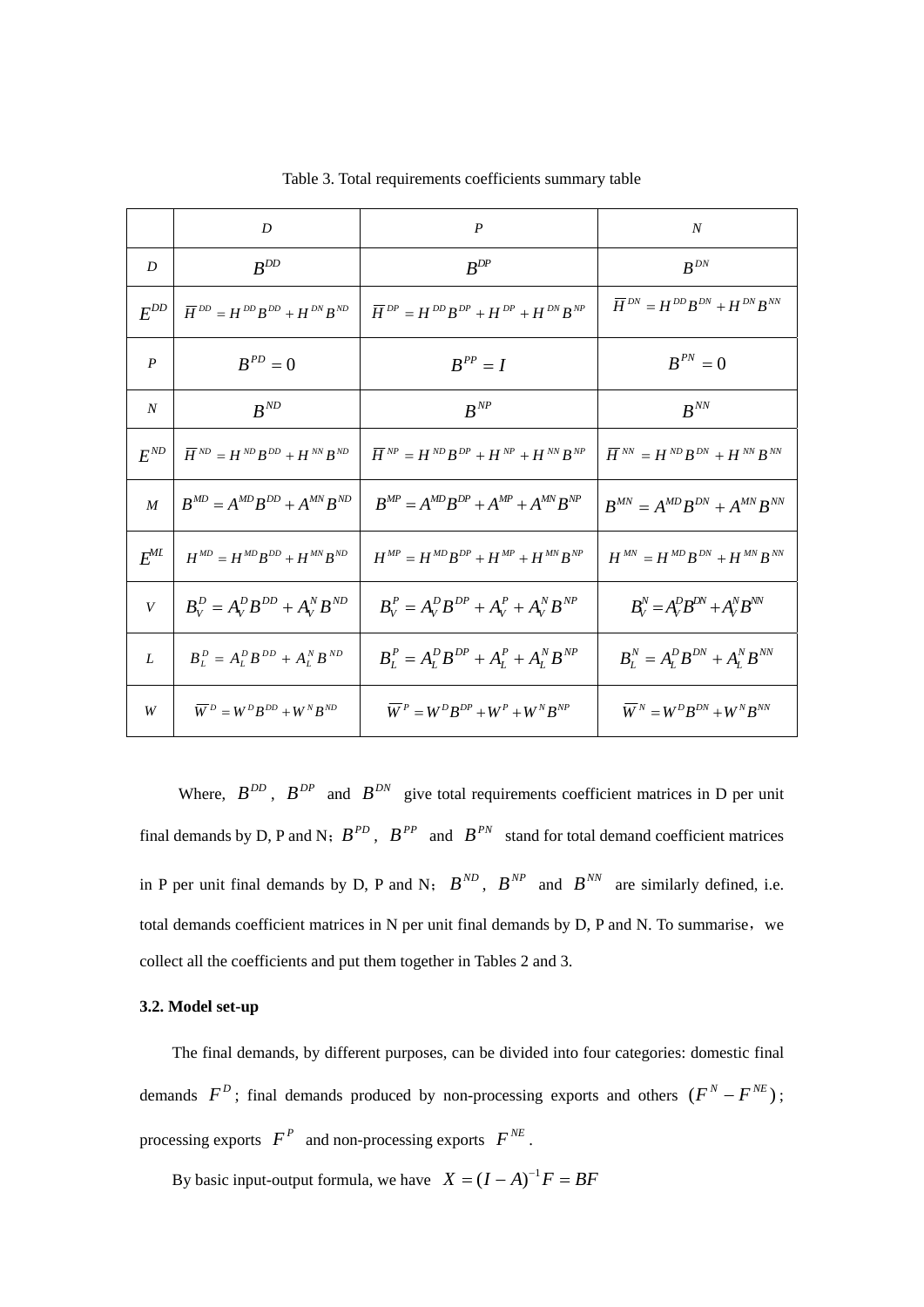|                  | D                                                                  | $\boldsymbol{P}$                                           | $\boldsymbol{N}$                                                                                                                       |
|------------------|--------------------------------------------------------------------|------------------------------------------------------------|----------------------------------------------------------------------------------------------------------------------------------------|
| D                | $B^{DD}$                                                           | $B^{DP}$                                                   | $B^{DN}$                                                                                                                               |
| $E^{DD}$         | $\overline{H}^{DD} = H^{DD}B^{DD} + H^{DN}B^{ND}$                  | $\overline{H}^{DP} = H^{DD}B^{DP} + H^{DP} + H^{DN}B^{NP}$ | $\overline{H}^{\, DN} = H^{\, DD} B^{\, DN} + H^{\, DN} B^{\, NN}$                                                                     |
| $\boldsymbol{P}$ | $B^{PD}=0$                                                         | $B^{PP}=I$                                                 | $B^{PN}=0$                                                                                                                             |
| $\boldsymbol{N}$ | $B^{ND}$                                                           | $B^{NP}$                                                   | $R^{NN}$                                                                                                                               |
| $E^{ND}$         | $\overline{H}^{\, ND} = H^{\, ND} B^{\, DD} + H^{\, NN} B^{\, ND}$ | $\overline{H}^{NP} = H^{ND}B^{DP} + H^{NP} + H^{NN}B^{NP}$ | $\overline{H}^{\, \text{\tiny{NN}}} = H^{\, \text{\tiny{ND}}}B^{\, \text{\tiny{DN}}} + H^{\, \text{\tiny{NN}}}B^{\, \text{\tiny{NN}}}$ |
| $\boldsymbol{M}$ | $B^{MD} = A^{MD}B^{DD} + A^{MN}B^{ND}$                             | $B^{MP} = A^{MP}B^{DP} + A^{MP} + A^{MN}B^{NP}$            | $B^{MN} = A^{MD} B^{DN} + A^{MN} B^{NN}$                                                                                               |
| $E^{ML}$         | $H^{MD} = H^{MD}B^{DD} + H^{MN}B^{ND}$                             | $H^{MP} = H^{MD}B^{DP} + H^{MP} + H^{MN}B^{NP}$            | $H^{MN} = H^{MD} B^{DN} + H^{MN} B^{NN}$                                                                                               |
| V                | $B_V^D = A_V^D B^{DD} + A_V^N B^{ND}$                              | $B_V^P = A_V^D B^{DP} + A_V^P + A_V^N B^{NP}$              | $B_V^N = A_V^D B^{DN} + A_V^N B^{NN}$                                                                                                  |
| L                | $B_L^D = A_L^D B^{DD} + A_L^N B^{ND}$                              | $B_L^P = A_L^D B^{DP} + A_L^P + A_L^N B^{NP}$              | $B_L^N = A_L^D B^{DN} + A_L^N B^{NN}$                                                                                                  |
| W                | $\overline{W}^D = W^D B^{DD} + W^N B^{ND}$                         | $\overline{W}^P = W^D B^{DP} + W^P + W^N B^{NP}$           | $\overline{W}^N = W^D B^{DN} + W^N B^{NN}$                                                                                             |

Table 3. Total requirements coefficients summary table

Where,  $B^{DD}$ ,  $B^{DP}$  and  $B^{DN}$  give total requirements coefficient matrices in D per unit final demands by D, P and N;  $B^{PD}$ ,  $B^{PP}$  and  $B^{PN}$  stand for total demand coefficient matrices in P per unit final demands by D, P and N;  $B^{ND}$ ,  $B^{NP}$  and  $B^{NN}$  are similarly defined, i.e. total demands coefficient matrices in N per unit final demands by D, P and N. To summarise, we collect all the coefficients and put them together in Tables 2 and 3.

## **3.2. Model set-up**

The final demands, by different purposes, can be divided into four categories: domestic final demands  $F^{D}$ ; final demands produced by non-processing exports and others  $(F^{N} - F^{NE})$ ; processing exports  $F^P$  and non-processing exports  $F^{NE}$ .

By basic input-output formula, we have  $X = (I - A)^{-1}F = BF$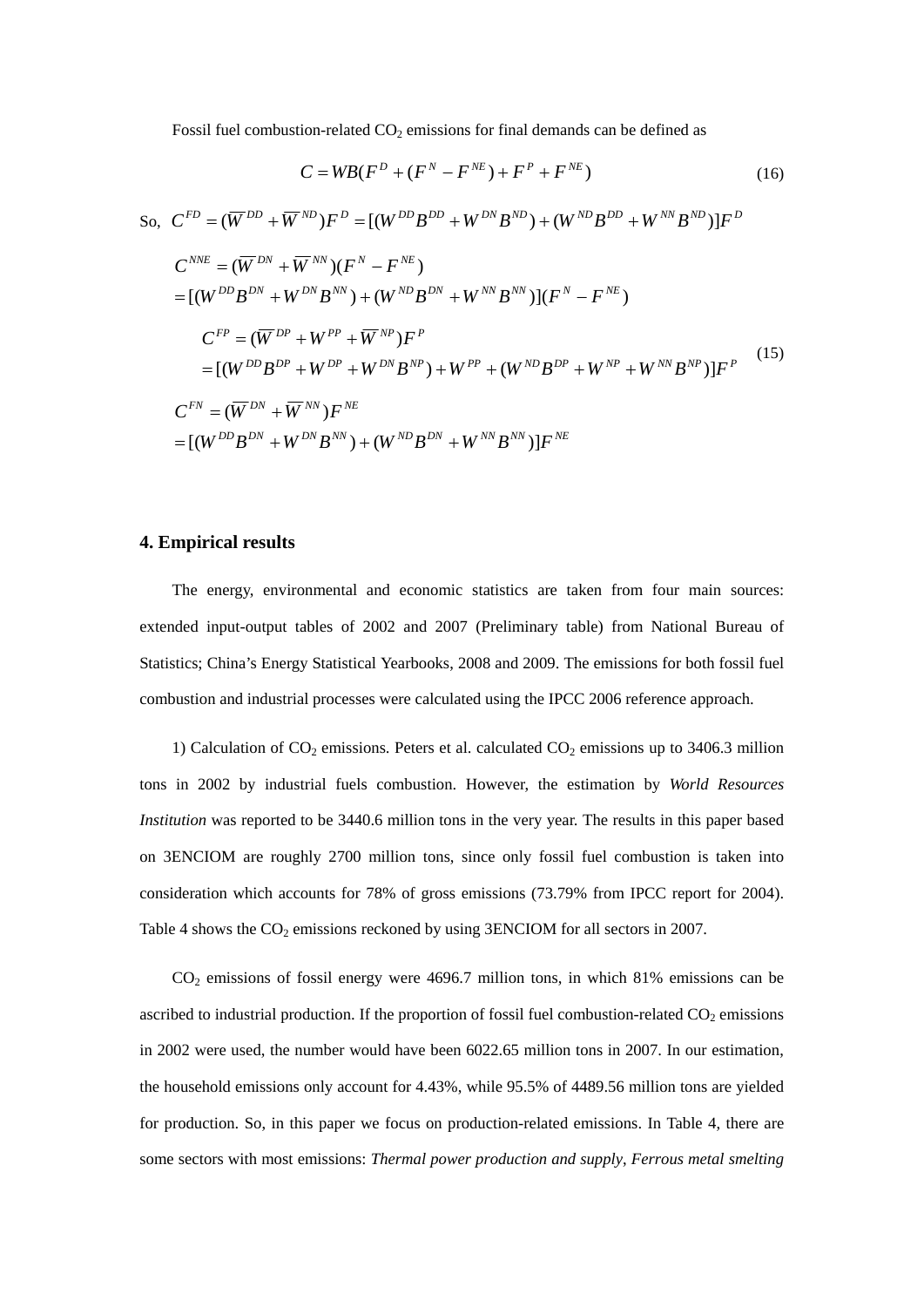Fossil fuel combustion-related  $CO<sub>2</sub>$  emissions for final demands can be defined as

$$
C = WB(F^{D} + (F^{N} - F^{NE}) + F^{P} + F^{NE})
$$
\n(16)

So, 
$$
C^{FD} = (\overline{W}^{DD} + \overline{W}^{ND})F^D = [(W^{DD}B^{DD} + W^{DN}B^{ND}) + (W^{ND}B^{DD} + W^{NN}B^{ND})]F^D
$$
  
\n
$$
C^{NNE} = (\overline{W}^{DN} + \overline{W}^{NN})(F^N - F^{NE})
$$
\n
$$
= [(W^{DD}B^{DN} + W^{DN}B^{NN}) + (W^{ND}B^{DN} + W^{NN}B^{NN})](F^N - F^{NE})
$$
\n
$$
C^{FP} = (\overline{W}^{DP} + W^{PP} + \overline{W}^{NP})F^P
$$
\n
$$
= [(W^{DD}B^{DP} + W^{DP} + W^{DN}B^{NP}) + W^{PP} + (W^{ND}B^{DP} + W^{NP} + W^{NN}B^{NP})]F^P
$$
\n
$$
C^{FN} = (\overline{W}^{DN} + \overline{W}^{NN})F^{NE}
$$
\n
$$
= [(W^{DD}B^{DN} + W^{DN}B^{NN}) + (W^{ND}B^{DN} + W^{NN}B^{NN})]F^{NE}
$$
\n(15)

# **4. Empirical results**

The energy, environmental and economic statistics are taken from four main sources: extended input-output tables of 2002 and 2007 (Preliminary table) from National Bureau of Statistics; China's Energy Statistical Yearbooks, 2008 and 2009. The emissions for both fossil fuel combustion and industrial processes were calculated using the IPCC 2006 reference approach.

1) Calculation of  $CO<sub>2</sub>$  emissions. Peters et al. calculated  $CO<sub>2</sub>$  emissions up to 3406.3 million tons in 2002 by industrial fuels combustion. However, the estimation by *World Resources Institution* was reported to be 3440.6 million tons in the very year. The results in this paper based on 3ENCIOM are roughly 2700 million tons, since only fossil fuel combustion is taken into consideration which accounts for 78% of gross emissions (73.79% from IPCC report for 2004). Table 4 shows the  $CO<sub>2</sub>$  emissions reckoned by using 3ENCIOM for all sectors in 2007.

CO2 emissions of fossil energy were 4696.7 million tons, in which 81% emissions can be ascribed to industrial production. If the proportion of fossil fuel combustion-related  $CO<sub>2</sub>$  emissions in 2002 were used, the number would have been 6022.65 million tons in 2007. In our estimation, the household emissions only account for 4.43%, while 95.5% of 4489.56 million tons are yielded for production. So, in this paper we focus on production-related emissions. In Table 4, there are some sectors with most emissions: *Thermal power production and supply*, *Ferrous metal smelting*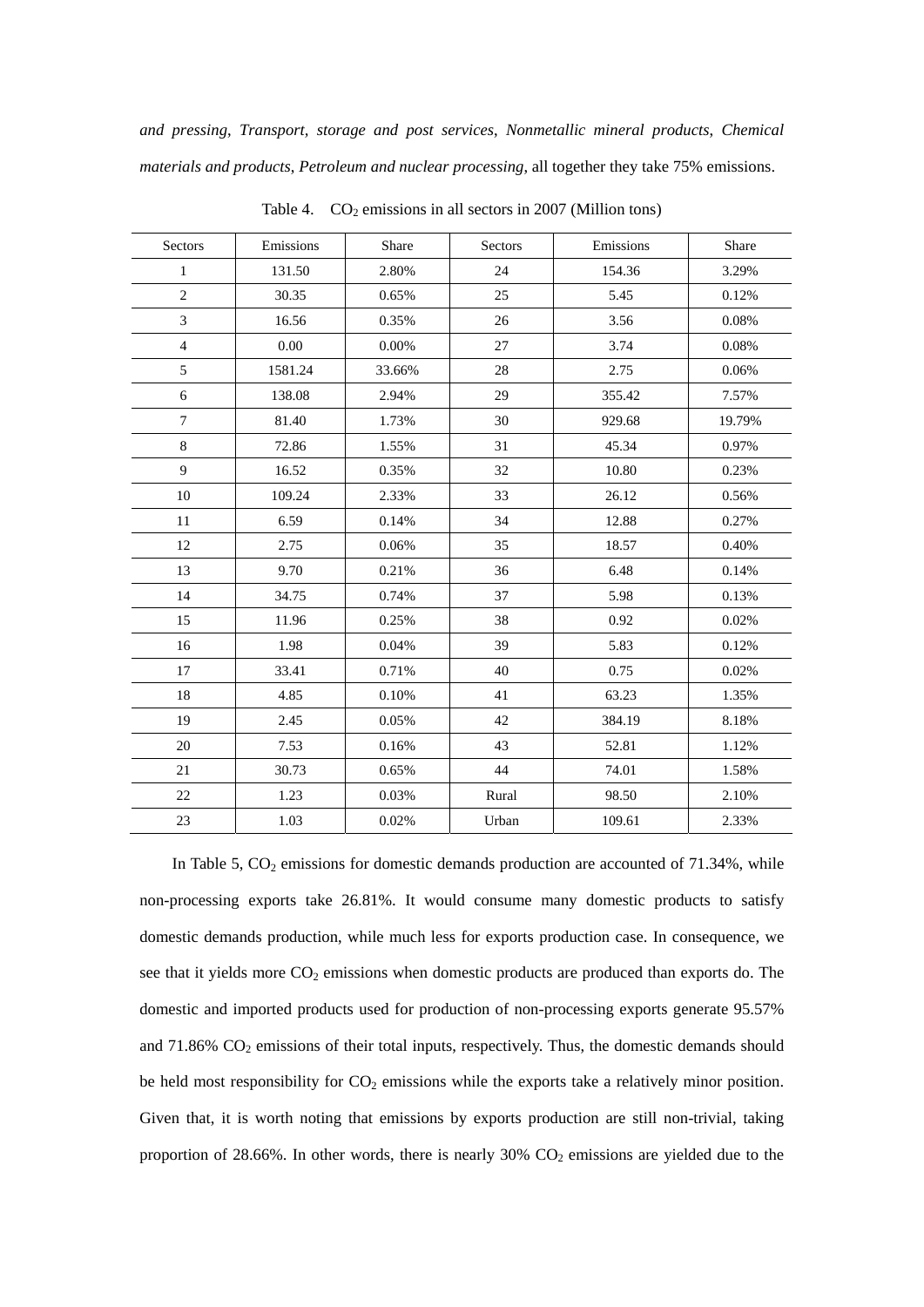*and pressing*, *Transport, storage and post services*, *Nonmetallic mineral products*, *Chemical materials and products*, *Petroleum and nuclear processing*, all together they take 75% emissions.

| Sectors        | Emissions | Share    | Sectors | Emissions | Share  |
|----------------|-----------|----------|---------|-----------|--------|
| $\mathbf 1$    | 131.50    | 2.80%    | 24      | 154.36    | 3.29%  |
| $\overline{2}$ | 30.35     | 0.65%    | 25      | 5.45      | 0.12%  |
| $\overline{3}$ | 16.56     | 0.35%    | 26      | 3.56      | 0.08%  |
| $\overline{4}$ | $0.00\,$  | $0.00\%$ | 27      | 3.74      | 0.08%  |
| 5              | 1581.24   | 33.66%   | 28      | 2.75      | 0.06%  |
| 6              | 138.08    | 2.94%    | 29      | 355.42    | 7.57%  |
| $\tau$         | 81.40     | 1.73%    | 30      | 929.68    | 19.79% |
| $8\,$          | 72.86     | 1.55%    | 31      | 45.34     | 0.97%  |
| 9              | 16.52     | 0.35%    | 32      | 10.80     | 0.23%  |
| 10             | 109.24    | 2.33%    | 33      | 26.12     | 0.56%  |
| $11\,$         | 6.59      | 0.14%    | 34      | 12.88     | 0.27%  |
| 12             | 2.75      | 0.06%    | 35      | 18.57     | 0.40%  |
| 13             | 9.70      | 0.21%    | 36      | 6.48      | 0.14%  |
| 14             | 34.75     | 0.74%    | 37      | 5.98      | 0.13%  |
| 15             | 11.96     | 0.25%    | 38      | 0.92      | 0.02%  |
| 16             | 1.98      | 0.04%    | 39      | 5.83      | 0.12%  |
| 17             | 33.41     | 0.71%    | 40      | 0.75      | 0.02%  |
| $18\,$         | 4.85      | 0.10%    | 41      | 63.23     | 1.35%  |
| 19             | 2.45      | 0.05%    | 42      | 384.19    | 8.18%  |
| 20             | 7.53      | 0.16%    | 43      | 52.81     | 1.12%  |
| 21             | 30.73     | 0.65%    | 44      | 74.01     | 1.58%  |
| $22\,$         | 1.23      | 0.03%    | Rural   | 98.50     | 2.10%  |
| 23             | 1.03      | 0.02%    | Urban   | 109.61    | 2.33%  |

Table 4.  $CO<sub>2</sub>$  emissions in all sectors in 2007 (Million tons)

In Table 5,  $CO<sub>2</sub>$  emissions for domestic demands production are accounted of 71.34%, while non-processing exports take 26.81%. It would consume many domestic products to satisfy domestic demands production, while much less for exports production case. In consequence, we see that it yields more  $CO<sub>2</sub>$  emissions when domestic products are produced than exports do. The domestic and imported products used for production of non-processing exports generate 95.57% and  $71.86\%$   $CO<sub>2</sub>$  emissions of their total inputs, respectively. Thus, the domestic demands should be held most responsibility for  $CO<sub>2</sub>$  emissions while the exports take a relatively minor position. Given that, it is worth noting that emissions by exports production are still non-trivial, taking proportion of 28.66%. In other words, there is nearly 30%  $CO<sub>2</sub>$  emissions are yielded due to the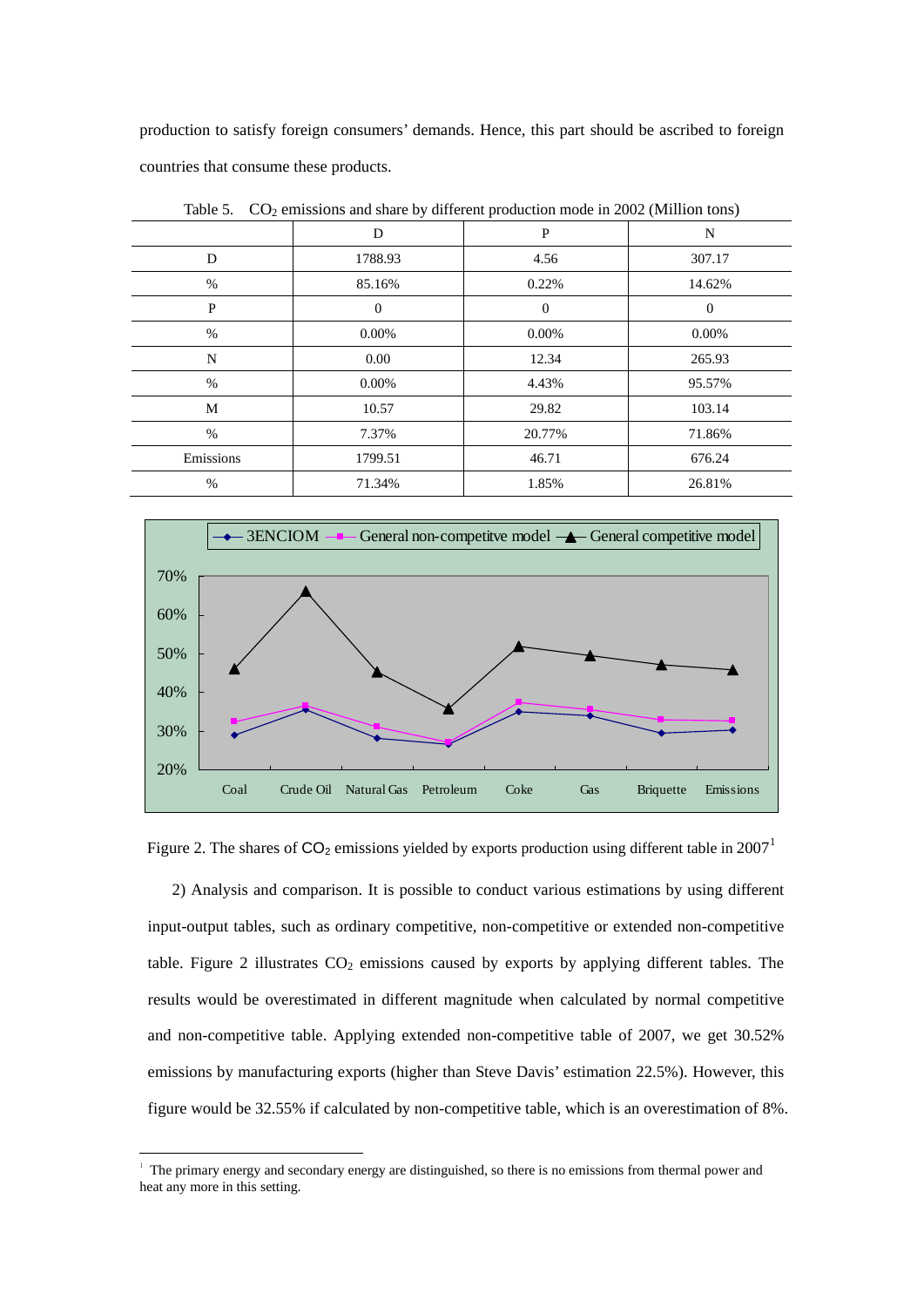production to satisfy foreign consumers' demands. Hence, this part should be ascribed to foreign countries that consume these products.

|           | D              | P        | N        |  |  |  |  |
|-----------|----------------|----------|----------|--|--|--|--|
| D         | 1788.93        | 4.56     | 307.17   |  |  |  |  |
| $\%$      | 85.16%         | 0.22%    | 14.62%   |  |  |  |  |
| P         | $\overline{0}$ | $\theta$ | $\Omega$ |  |  |  |  |
| $\%$      | 0.00%          | 0.00%    | $0.00\%$ |  |  |  |  |
| N         | 0.00           | 12.34    | 265.93   |  |  |  |  |
| $\%$      | 0.00%          | 4.43%    | 95.57%   |  |  |  |  |
| M         | 10.57          | 29.82    | 103.14   |  |  |  |  |
| $\%$      | 7.37%          | 20.77%   | 71.86%   |  |  |  |  |
| Emissions | 1799.51        | 46.71    | 676.24   |  |  |  |  |
| $\%$      | 71.34%         | 1.85%    | 26.81%   |  |  |  |  |
|           |                |          |          |  |  |  |  |

Table 5.  $CO<sub>2</sub>$  emissions and share by different production mode in 2002 (Million tons)



Figure 2. The shares of  $CO_2$  emissions yielded by exports production using different table in 2007<sup>[1](#page-10-0)</sup>

2) Analysis and comparison. It is possible to conduct various estimations by using different input-output tables, such as ordinary competitive, non-competitive or extended non-competitive table. Figure 2 illustrates  $CO<sub>2</sub>$  emissions caused by exports by applying different tables. The results would be overestimated in different magnitude when calculated by normal competitive and non-competitive table. Applying extended non-competitive table of 2007, we get 30.52% emissions by manufacturing exports (higher than Steve Davis' estimation 22.5%). However, this figure would be 32.55% if calculated by non-competitive table, which is an overestimation of 8%.

-

<span id="page-10-0"></span><sup>&</sup>lt;sup>1</sup> The primary energy and secondary energy are distinguished, so there is no emissions from thermal power and heat any more in this setting.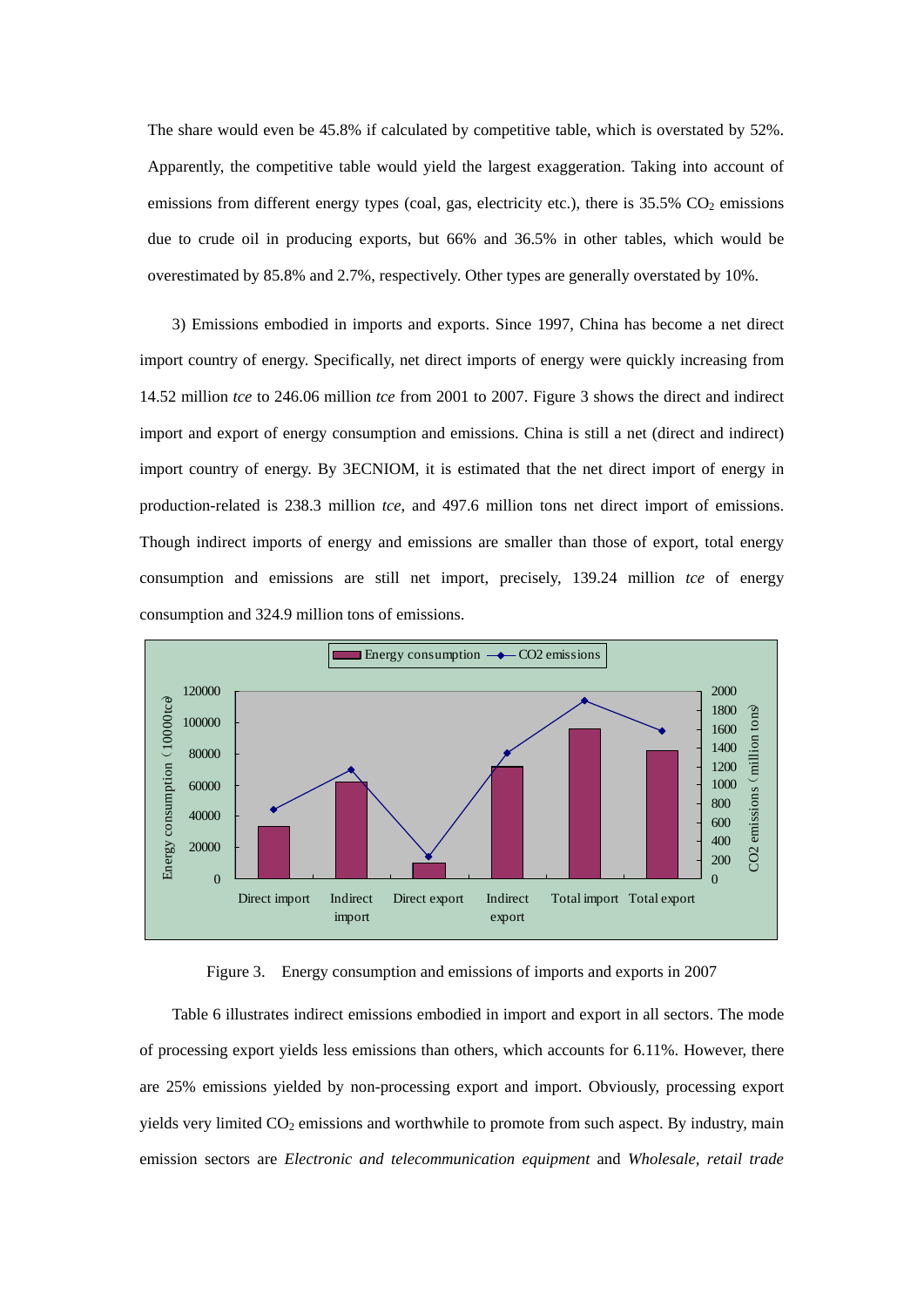The share would even be 45.8% if calculated by competitive table, which is overstated by 52%. Apparently, the competitive table would yield the largest exaggeration. Taking into account of emissions from different energy types (coal, gas, electricity etc.), there is  $35.5\%$  CO<sub>2</sub> emissions due to crude oil in producing exports, but 66% and 36.5% in other tables, which would be overestimated by 85.8% and 2.7%, respectively. Other types are generally overstated by 10%.

3) Emissions embodied in imports and exports. Since 1997, China has become a net direct import country of energy. Specifically, net direct imports of energy were quickly increasing from 14.52 million *tce* to 246.06 million *tce* from 2001 to 2007. Figure 3 shows the direct and indirect import and export of energy consumption and emissions. China is still a net (direct and indirect) import country of energy. By 3ECNIOM, it is estimated that the net direct import of energy in production-related is 238.3 million *tce*, and 497.6 million tons net direct import of emissions. Though indirect imports of energy and emissions are smaller than those of export, total energy consumption and emissions are still net import, precisely, 139.24 million *tce* of energy consumption and 324.9 million tons of emissions.



Figure 3. Energy consumption and emissions of imports and exports in 2007

Table 6 illustrates indirect emissions embodied in import and export in all sectors. The mode of processing export yields less emissions than others, which accounts for 6.11%. However, there are 25% emissions yielded by non-processing export and import. Obviously, processing export yields very limited  $CO_2$  emissions and worthwhile to promote from such aspect. By industry, main emission sectors are *Electronic and telecommunication equipment* and *Wholesale, retail trade*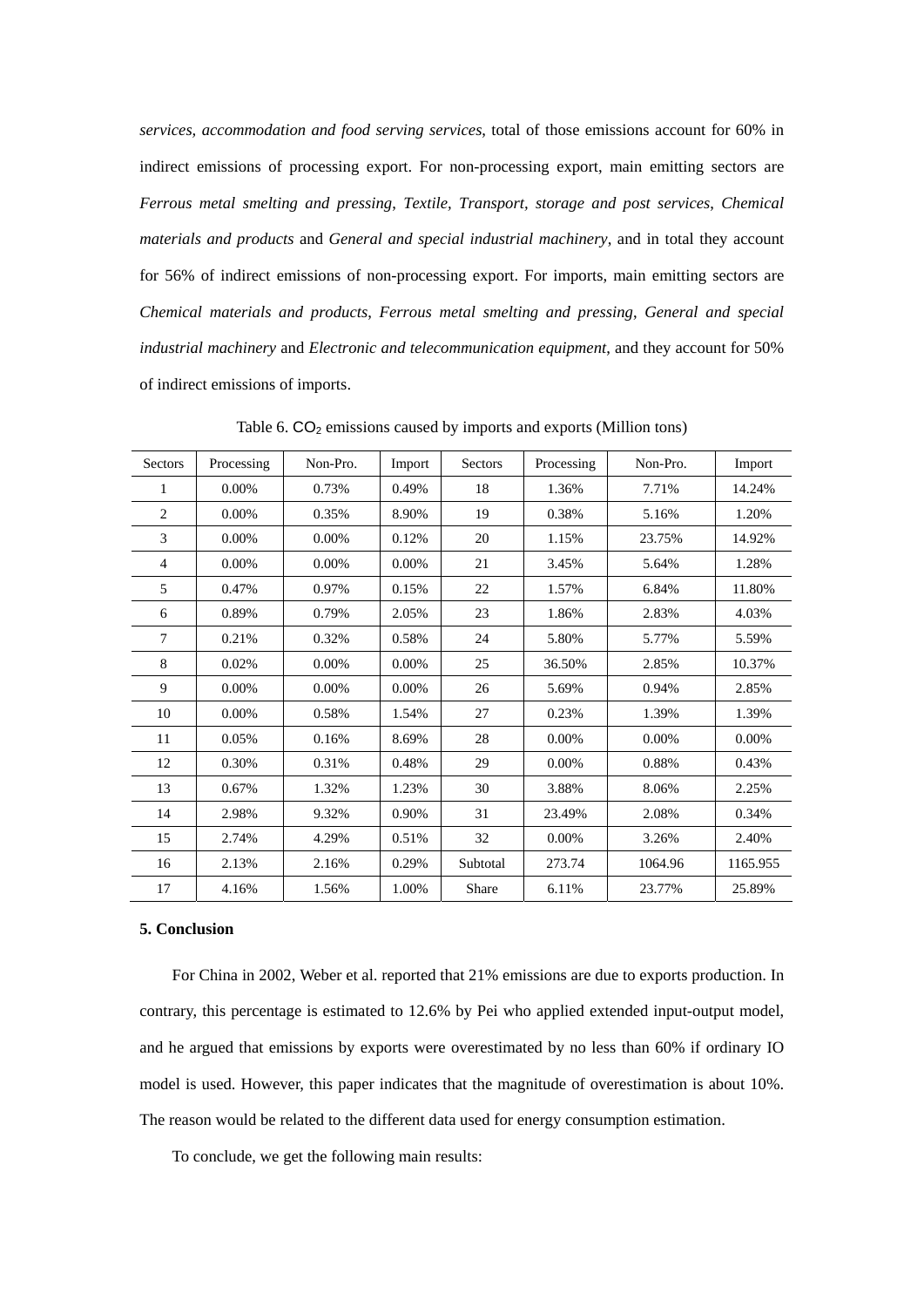*services, accommodation and food serving services*, total of those emissions account for 60% in indirect emissions of processing export. For non-processing export, main emitting sectors are *Ferrous metal smelting and pressing*, *Textile, Transport, storage and post services*, *Chemical materials and products* and *General and special industrial machinery*, and in total they account for 56% of indirect emissions of non-processing export. For imports, main emitting sectors are *Chemical materials and products*, *Ferrous metal smelting and pressing*, *General and special industrial machinery* and *Electronic and telecommunication equipment*, and they account for 50% of indirect emissions of imports.

| <b>Sectors</b> | Processing | Non-Pro. | Import | Sectors  | Processing | Non-Pro. | Import   |
|----------------|------------|----------|--------|----------|------------|----------|----------|
| 1              | 0.00%      | 0.73%    | 0.49%  | 18       | 1.36%      | 7.71%    | 14.24%   |
| $\overline{c}$ | 0.00%      | 0.35%    | 8.90%  | 19       | 0.38%      | 5.16%    | 1.20%    |
| 3              | 0.00%      | 0.00%    | 0.12%  | 20       | 1.15%      | 23.75%   | 14.92%   |
| 4              | 0.00%      | 0.00%    | 0.00%  | 21       | 3.45%      | 5.64%    | 1.28%    |
| 5              | 0.47%      | 0.97%    | 0.15%  | 22       | 1.57%      | 6.84%    | 11.80%   |
| 6              | 0.89%      | 0.79%    | 2.05%  | 23       | 1.86%      | 2.83%    | 4.03%    |
| 7              | 0.21%      | 0.32%    | 0.58%  | 24       | 5.80%      | 5.77%    | 5.59%    |
| 8              | 0.02%      | 0.00%    | 0.00%  | 25       | 36.50%     | 2.85%    | 10.37%   |
| 9              | 0.00%      | 0.00%    | 0.00%  | 26       | 5.69%      | 0.94%    | 2.85%    |
| 10             | 0.00%      | 0.58%    | 1.54%  | 27       | 0.23%      | 1.39%    | 1.39%    |
| 11             | 0.05%      | 0.16%    | 8.69%  | 28       | 0.00%      | 0.00%    | 0.00%    |
| 12             | 0.30%      | 0.31%    | 0.48%  | 29       | 0.00%      | 0.88%    | 0.43%    |
| 13             | 0.67%      | 1.32%    | 1.23%  | 30       | 3.88%      | 8.06%    | 2.25%    |
| 14             | 2.98%      | 9.32%    | 0.90%  | 31       | 23.49%     | 2.08%    | 0.34%    |
| 15             | 2.74%      | 4.29%    | 0.51%  | 32       | 0.00%      | 3.26%    | 2.40%    |
| 16             | 2.13%      | 2.16%    | 0.29%  | Subtotal | 273.74     | 1064.96  | 1165.955 |
| 17             | 4.16%      | 1.56%    | 1.00%  | Share    | 6.11%      | 23.77%   | 25.89%   |

Table 6.  $CO<sub>2</sub>$  emissions caused by imports and exports (Million tons)

# **5. Conclusion**

For China in 2002, Weber et al. reported that 21% emissions are due to exports production. In contrary, this percentage is estimated to 12.6% by Pei who applied extended input-output model, and he argued that emissions by exports were overestimated by no less than 60% if ordinary IO model is used. However, this paper indicates that the magnitude of overestimation is about 10%. The reason would be related to the different data used for energy consumption estimation.

To conclude, we get the following main results: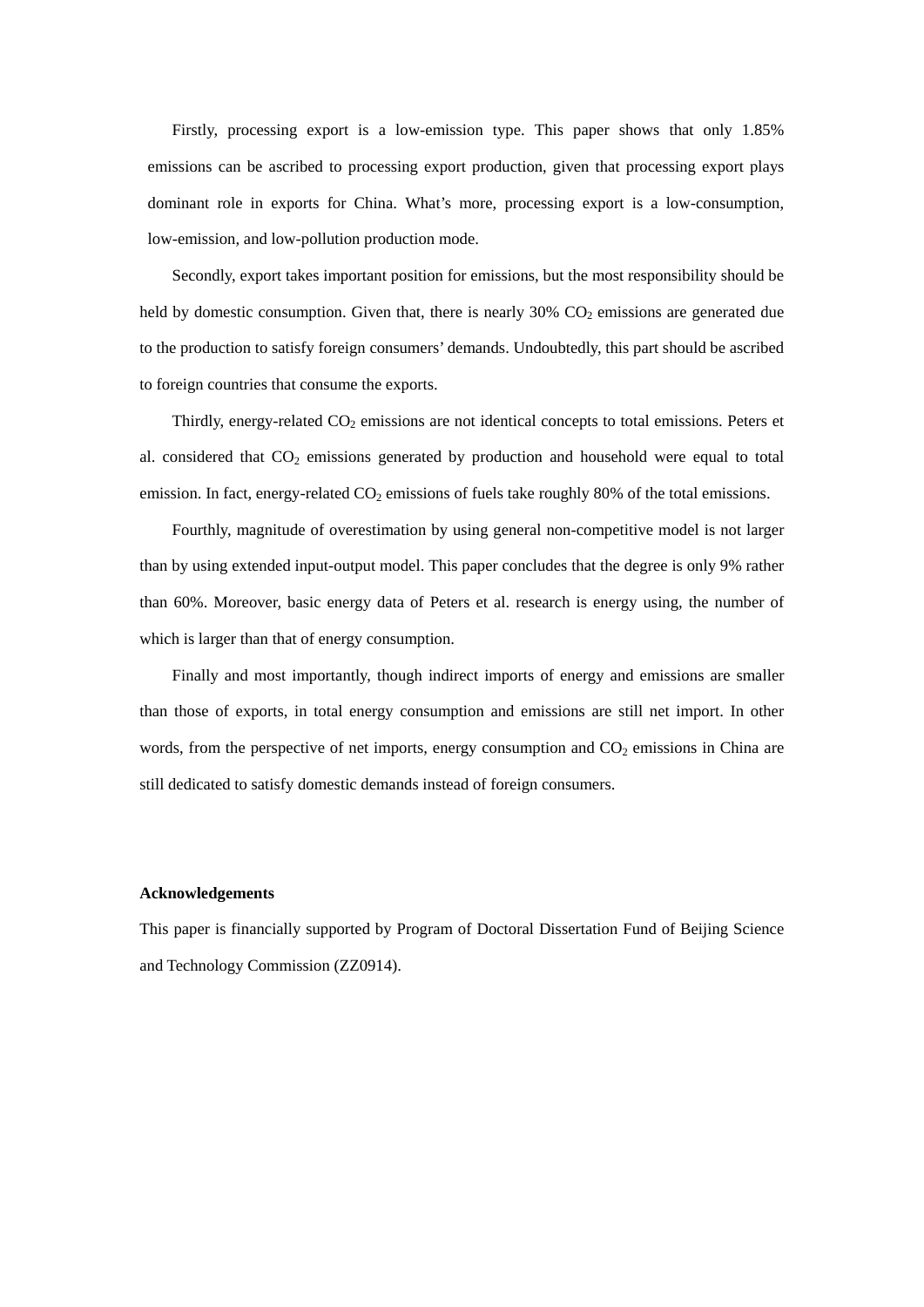Firstly, processing export is a low-emission type. This paper shows that only 1.85% emissions can be ascribed to processing export production, given that processing export plays dominant role in exports for China. What's more, processing export is a low-consumption, low-emission, and low-pollution production mode.

Secondly, export takes important position for emissions, but the most responsibility should be held by domestic consumption. Given that, there is nearly  $30\%$  CO<sub>2</sub> emissions are generated due to the production to satisfy foreign consumers' demands. Undoubtedly, this part should be ascribed to foreign countries that consume the exports.

Thirdly, energy-related  $CO<sub>2</sub>$  emissions are not identical concepts to total emissions. Peters et al. considered that  $CO<sub>2</sub>$  emissions generated by production and household were equal to total emission. In fact, energy-related CO<sub>2</sub> emissions of fuels take roughly 80% of the total emissions.

Fourthly, magnitude of overestimation by using general non-competitive model is not larger than by using extended input-output model. This paper concludes that the degree is only 9% rather than 60%. Moreover, basic energy data of Peters et al. research is energy using, the number of which is larger than that of energy consumption.

Finally and most importantly, though indirect imports of energy and emissions are smaller than those of exports, in total energy consumption and emissions are still net import. In other words, from the perspective of net imports, energy consumption and  $CO<sub>2</sub>$  emissions in China are still dedicated to satisfy domestic demands instead of foreign consumers.

#### **Acknowledgements**

This paper is financially supported by Program of Doctoral Dissertation Fund of Beijing Science and Technology Commission (ZZ0914).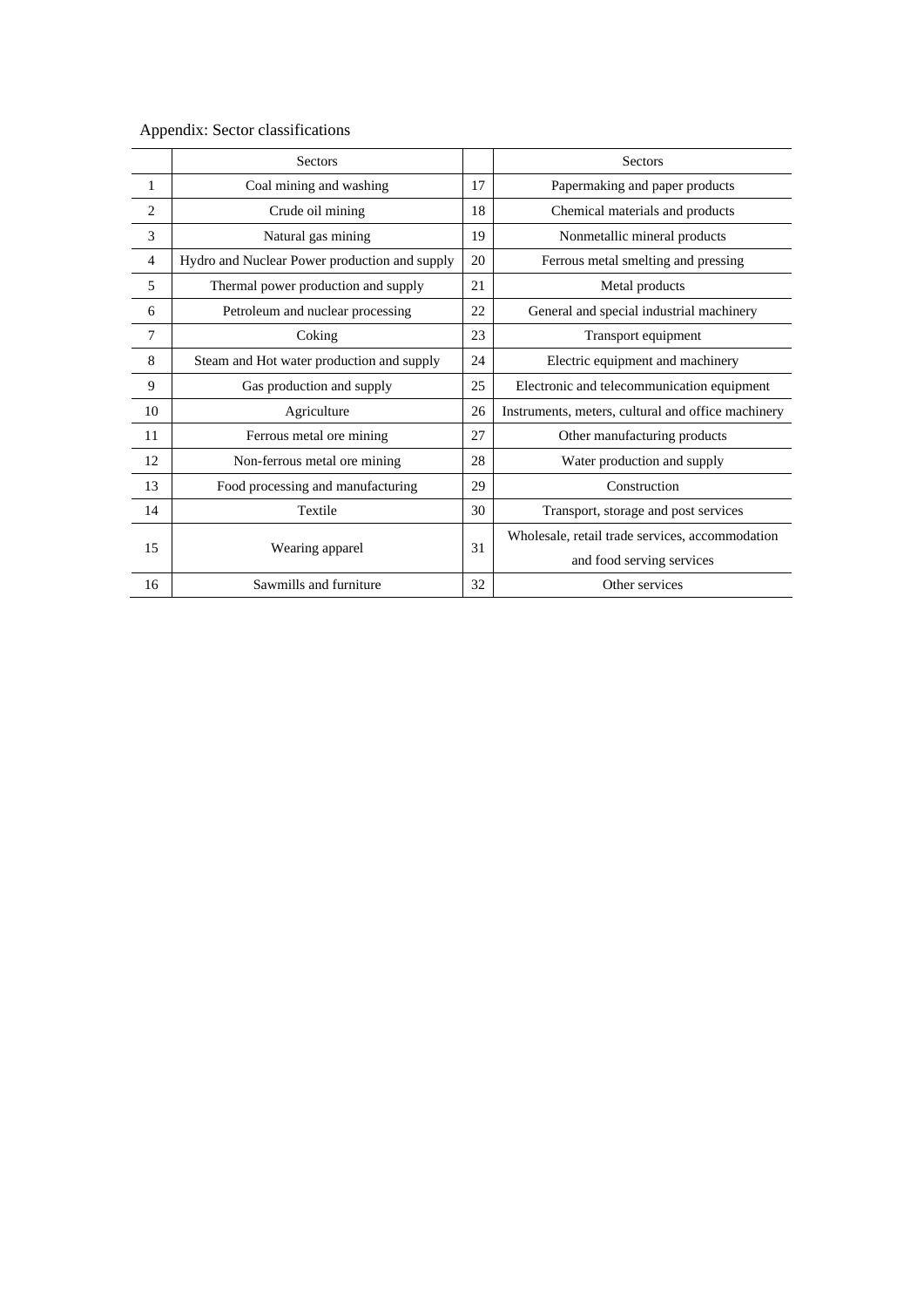|                | Sectors                                       |    | Sectors                                            |
|----------------|-----------------------------------------------|----|----------------------------------------------------|
| $\mathbf{1}$   | Coal mining and washing                       | 17 | Papermaking and paper products                     |
| $\overline{2}$ | Crude oil mining                              | 18 | Chemical materials and products                    |
| 3              | Natural gas mining                            | 19 | Nonmetallic mineral products                       |
| $\overline{4}$ | Hydro and Nuclear Power production and supply | 20 | Ferrous metal smelting and pressing                |
| 5              | Thermal power production and supply           | 21 | Metal products                                     |
| 6              | Petroleum and nuclear processing              | 22 | General and special industrial machinery           |
| 7              | Coking                                        | 23 | Transport equipment                                |
| 8              | Steam and Hot water production and supply     | 24 | Electric equipment and machinery                   |
| 9              | Gas production and supply                     | 25 | Electronic and telecommunication equipment         |
| 10             | Agriculture                                   | 26 | Instruments, meters, cultural and office machinery |
| 11             | Ferrous metal ore mining                      | 27 | Other manufacturing products                       |
| 12             | Non-ferrous metal ore mining                  | 28 | Water production and supply                        |
| 13             | Food processing and manufacturing             | 29 | Construction                                       |
| 14             | Textile                                       | 30 | Transport, storage and post services               |
|                | Wearing apparel                               |    | Wholesale, retail trade services, accommodation    |
| 15             |                                               |    | and food serving services                          |
| 16             | Sawmills and furniture                        | 32 | Other services                                     |

Appendix: Sector classifications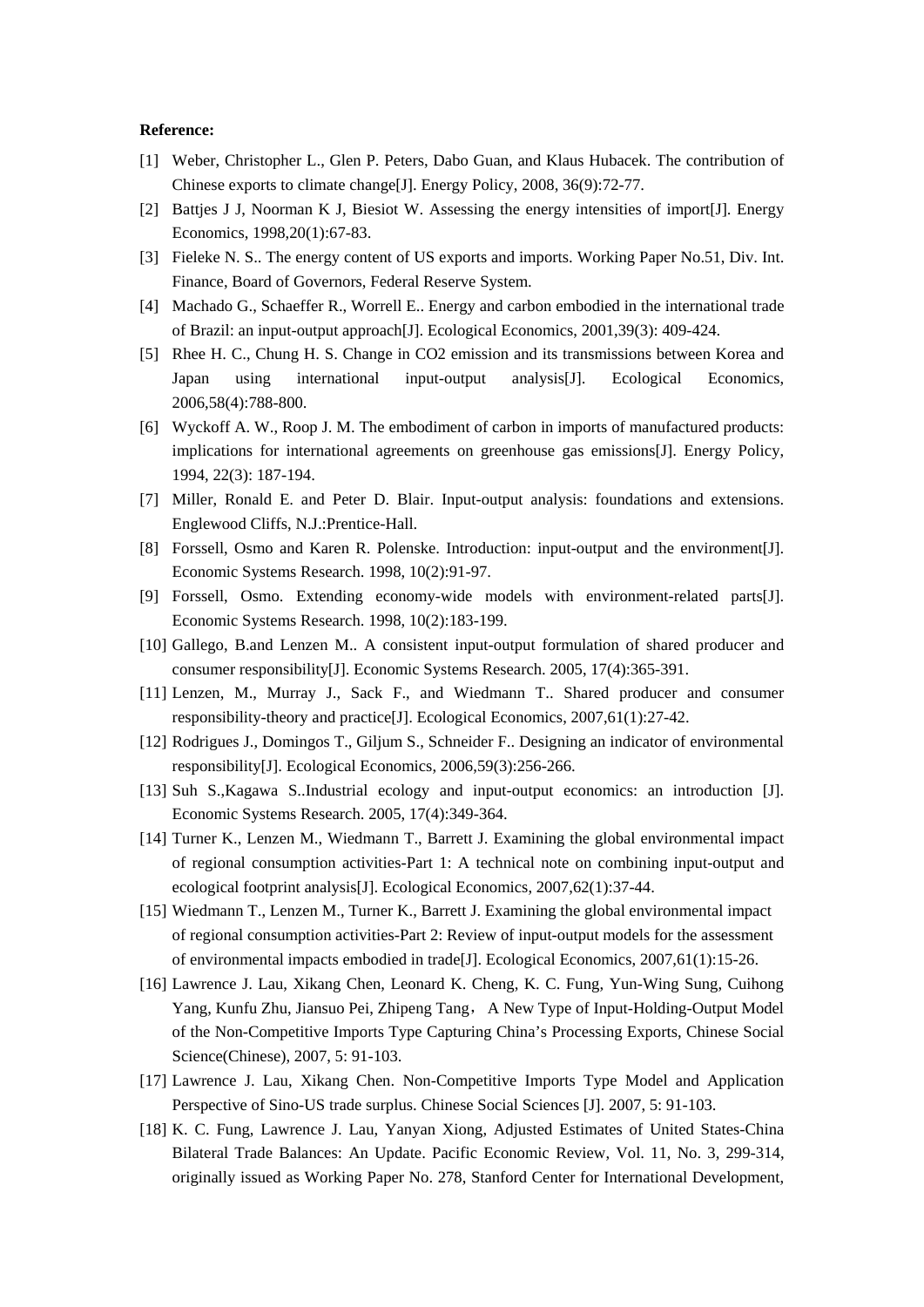## **Reference:**

- [1] Weber, Christopher L., Glen P. Peters, Dabo Guan, and Klaus Hubacek. The contribution of Chinese exports to climate change[J]. Energy Policy, 2008, 36(9):72-77.
- [2] Battjes J J, Noorman K J, Biesiot W. Assessing the energy intensities of import[J]. Energy Economics, 1998,20(1):67-83.
- [3] Fieleke N. S.. The energy content of US exports and imports. Working Paper No.51, Div. Int. Finance, Board of Governors, Federal Reserve System.
- [4] Machado G., Schaeffer R., Worrell E.. Energy and carbon embodied in the international trade of Brazil: an input-output approach[J]. Ecological Economics, 2001,39(3): 409-424.
- [5] Rhee H. C., Chung H. S. Change in CO2 emission and its transmissions between Korea and Japan using international input-output analysis[J]. Ecological Economics, 2006,58(4):788-800.
- [6] Wyckoff A. W., Roop J. M. The embodiment of carbon in imports of manufactured products: implications for international agreements on greenhouse gas emissions[J]. Energy Policy, 1994, 22(3): 187-194.
- [7] Miller, Ronald E. and Peter D. Blair. Input-output analysis: foundations and extensions. Englewood Cliffs, N.J.:Prentice-Hall.
- [8] Forssell, Osmo and Karen R. Polenske. Introduction: input-output and the environment[J]. Economic Systems Research. 1998, 10(2):91-97.
- [9] Forssell, Osmo. Extending economy-wide models with environment-related parts[J]. Economic Systems Research. 1998, 10(2):183-199.
- [10] Gallego, B.and Lenzen M.. A consistent input-output formulation of shared producer and consumer responsibility[J]. Economic Systems Research. 2005, 17(4):365-391.
- [11] Lenzen, M., Murray J., Sack F., and Wiedmann T.. Shared producer and consumer responsibility-theory and practice[J]. Ecological Economics, 2007,61(1):27-42.
- [12] Rodrigues J., Domingos T., Giljum S., Schneider F.. Designing an indicator of environmental responsibility[J]. Ecological Economics, 2006,59(3):256-266.
- [13] Suh S.,Kagawa S..Industrial ecology and input-output economics: an introduction [J]. Economic Systems Research. 2005, 17(4):349-364.
- [14] Turner K., Lenzen M., Wiedmann T., Barrett J. Examining the global environmental impact of regional consumption activities-Part 1: A technical note on combining input-output and ecological footprint analysis[J]. Ecological Economics, 2007,62(1):37-44.
- [15] Wiedmann T., Lenzen M., Turner K., Barrett J. Examining the global environmental impact of regional consumption activities-Part 2: Review of input-output models for the assessment of environmental impacts embodied in trade[J]. Ecological Economics, 2007,61(1):15-26.
- [16] Lawrence J. Lau, Xikang Chen, Leonard K. Cheng, K. C. Fung, Yun-Wing Sung, Cuihong Yang, Kunfu Zhu, Jiansuo Pei, Zhipeng Tang, A New Type of Input-Holding-Output Model of the Non-Competitive Imports Type Capturing China's Processing Exports, Chinese Social Science(Chinese), 2007, 5: 91-103.
- [17] Lawrence J. Lau, Xikang Chen. Non-Competitive Imports Type Model and Application Perspective of Sino-US trade surplus. Chinese Social Sciences [J]. 2007, 5: 91-103.
- [18] K. C. Fung, Lawrence J. Lau, Yanyan Xiong, Adjusted Estimates of United States-China Bilateral Trade Balances: An Update. Pacific Economic Review, Vol. 11, No. 3, 299-314, originally issued as Working Paper No. 278, Stanford Center for International Development,